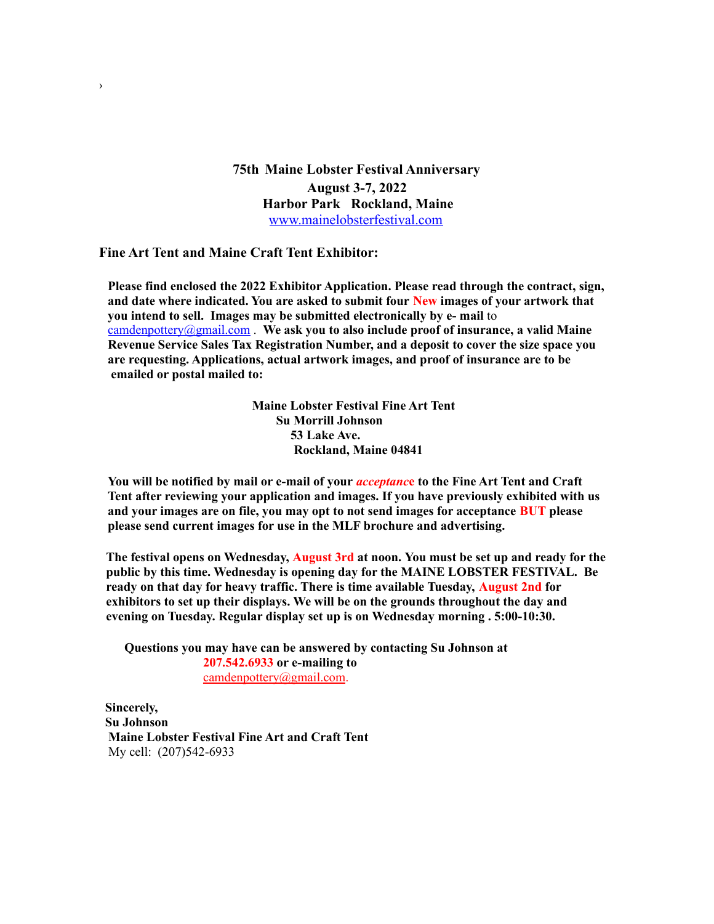**75th Maine Lobster Festival Anniversary August 3-7, 2022 Harbor Park Rockland, Maine** [www.mainelobsterfestival.com](http://www.mainelobsterfestival.com/)

#### **Fine Art Tent and Maine Craft Tent Exhibitor:**

›

**Please find enclosed the 2022 Exhibitor Application. Please read through the contract, sign, and date where indicated. You are asked to submit four New images of your artwork that you intend to sell. Images may be submitted electronically by e- mail** to [camdenpottery@gmail.com](mailto:camdenpottery@gmail.com) . **We ask you to also include proof of insurance, a valid Maine Revenue Service Sales Tax Registration Number, and a deposit to cover the size space you are requesting. Applications, actual artwork images, and proof of insurance are to be emailed or postal mailed to:**

> **Maine Lobster Festival Fine Art Tent Su Morrill Johnson 53 Lake Ave. Rockland, Maine 04841**

**You will be notified by mail or e-mail of your** *acceptanc***e to the Fine Art Tent and Craft Tent after reviewing your application and images. If you have previously exhibited with us and your images are on file, you may opt to not send images for acceptance BUT please please send current images for use in the MLF brochure and advertising.**

**The festival opens on Wednesday, August 3rd at noon. You must be set up and ready for the public by this time. Wednesday is opening day for the MAINE LOBSTER FESTIVAL. Be ready on that day for heavy traffic. There is time available Tuesday, August 2nd for exhibitors to set up their displays. We will be on the grounds throughout the day and evening on Tuesday. Regular display set up is on Wednesday morning . 5:00-10:30.**

**Questions you may have can be answered by contacting Su Johnson at 207.542.6933 or e-mailing to** [camdenpottery@gmail.com.](mailto:camdenpottery@gmail.com)

**Sincerely, Su Johnson Maine Lobster Festival Fine Art and Craft Tent** My cell: (207)542-6933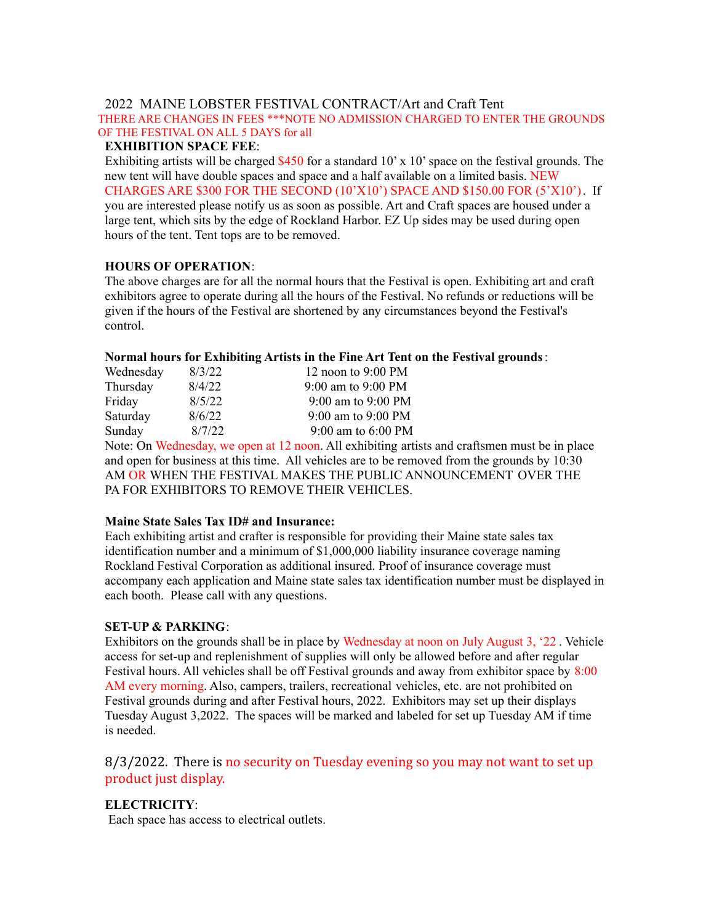# 2022 MAINE LOBSTER FESTIVAL CONTRACT/Art and Craft Tent

THERE ARE CHANGES IN FEES \*\*\*NOTE NO ADMISSION CHARGED TO ENTER THE GROUNDS OF THE FESTIVAL ON ALL 5 DAYS for all

#### **EXHIBITION SPACE FEE**:

Exhibiting artists will be charged  $$450$  for a standard 10' x 10' space on the festival grounds. The new tent will have double spaces and space and a half available on a limited basis. NEW CHARGES ARE \$300 FOR THE SECOND (10'X10') SPACE AND \$150.00 FOR (5'X10'). If you are interested please notify us as soon as possible. Art and Craft spaces are housed under a large tent, which sits by the edge of Rockland Harbor. EZ Up sides may be used during open hours of the tent. Tent tops are to be removed.

### **HOURS OF OPERATION**:

The above charges are for all the normal hours that the Festival is open. Exhibiting art and craft exhibitors agree to operate during all the hours of the Festival. No refunds or reductions will be given if the hours of the Festival are shortened by any circumstances beyond the Festival's control.

### **Normal hours for Exhibiting Artists in the Fine Art Tent on the Festival grounds**:

| Wednesday | 8/3/22 | 12 noon to 9:00 PM |
|-----------|--------|--------------------|
| Thursday  | 8/4/22 | 9:00 am to 9:00 PM |
| Friday    | 8/5/22 | 9:00 am to 9:00 PM |
| Saturday  | 8/6/22 | 9:00 am to 9:00 PM |
| Sunday    | 8/7/22 | 9:00 am to 6:00 PM |
|           |        |                    |

Note: On Wednesday, we open at 12 noon. All exhibiting artists and craftsmen must be in place and open for business at this time. All vehicles are to be removed from the grounds by 10:30 AM OR WHEN THE FESTIVAL MAKES THE PUBLIC ANNOUNCEMENT OVER THE PA FOR EXHIBITORS TO REMOVE THEIR VEHICLES.

### **Maine State Sales Tax ID# and Insurance:**

Each exhibiting artist and crafter is responsible for providing their Maine state sales tax identification number and a minimum of \$1,000,000 liability insurance coverage naming Rockland Festival Corporation as additional insured. Proof of insurance coverage must accompany each application and Maine state sales tax identification number must be displayed in each booth. Please call with any questions.

### **SET-UP & PARKING**:

Exhibitors on the grounds shall be in place by Wednesday at noon on July August 3, '22 . Vehicle access for set-up and replenishment of supplies will only be allowed before and after regular Festival hours. All vehicles shall be off Festival grounds and away from exhibitor space by 8:00 AM every morning. Also, campers, trailers, recreational vehicles, etc. are not prohibited on Festival grounds during and after Festival hours, 2022. Exhibitors may set up their displays Tuesday August 3,2022. The spaces will be marked and labeled for set up Tuesday AM if time is needed.

# 8/3/2022. There is no security on Tuesday evening so you may not want to set up product just display.

# **ELECTRICITY**:

Each space has access to electrical outlets.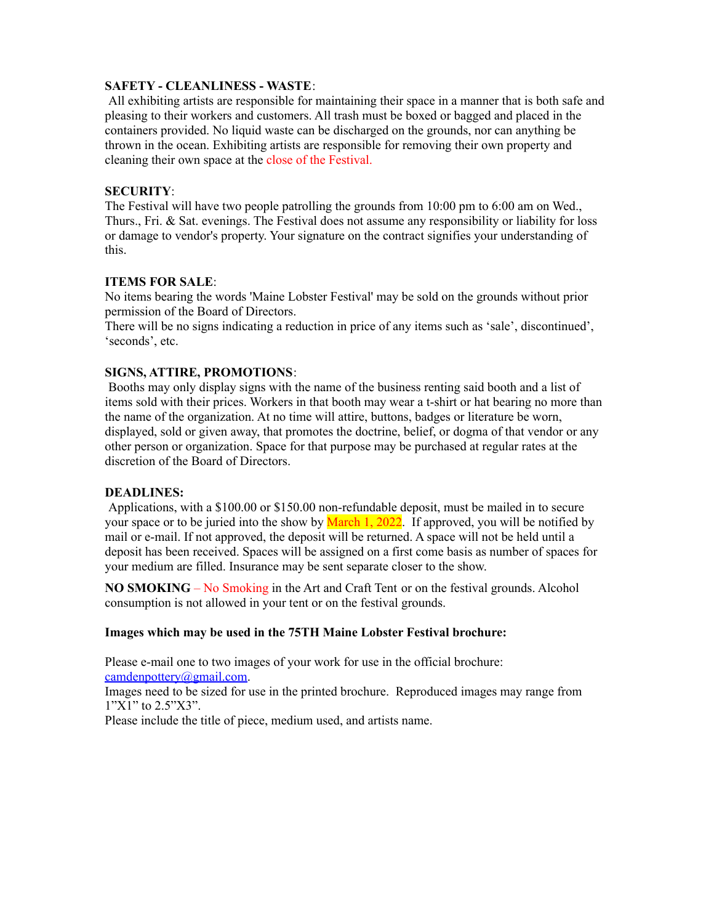### **SAFETY - CLEANLINESS - WASTE**:

All exhibiting artists are responsible for maintaining their space in a manner that is both safe and pleasing to their workers and customers. All trash must be boxed or bagged and placed in the containers provided. No liquid waste can be discharged on the grounds, nor can anything be thrown in the ocean. Exhibiting artists are responsible for removing their own property and cleaning their own space at the close of the Festival.

# **SECURITY**:

The Festival will have two people patrolling the grounds from 10:00 pm to 6:00 am on Wed., Thurs., Fri. & Sat. evenings. The Festival does not assume any responsibility or liability for loss or damage to vendor's property. Your signature on the contract signifies your understanding of this.

# **ITEMS FOR SALE**:

No items bearing the words 'Maine Lobster Festival' may be sold on the grounds without prior permission of the Board of Directors.

There will be no signs indicating a reduction in price of any items such as 'sale', discontinued', 'seconds', etc.

# **SIGNS, ATTIRE, PROMOTIONS**:

Booths may only display signs with the name of the business renting said booth and a list of items sold with their prices. Workers in that booth may wear a t-shirt or hat bearing no more than the name of the organization. At no time will attire, buttons, badges or literature be worn, displayed, sold or given away, that promotes the doctrine, belief, or dogma of that vendor or any other person or organization. Space for that purpose may be purchased at regular rates at the discretion of the Board of Directors.

### **DEADLINES:**

Applications, with a \$100.00 or \$150.00 non-refundable deposit, must be mailed in to secure your space or to be juried into the show by March 1, 2022. If approved, you will be notified by mail or e-mail. If not approved, the deposit will be returned. A space will not be held until a deposit has been received. Spaces will be assigned on a first come basis as number of spaces for your medium are filled. Insurance may be sent separate closer to the show.

**NO SMOKING** – No Smoking in the Art and Craft Tent or on the festival grounds. Alcohol consumption is not allowed in your tent or on the festival grounds.

### **Images which may be used in the 75TH Maine Lobster Festival brochure:**

Please e-mail one to two images of your work for use in the official brochure: [camdenpottery@gmail.com](mailto:camdenpottery@gmail.com).

Images need to be sized for use in the printed brochure. Reproduced images may range from 1"X1" to 2.5"X3".

Please include the title of piece, medium used, and artists name.